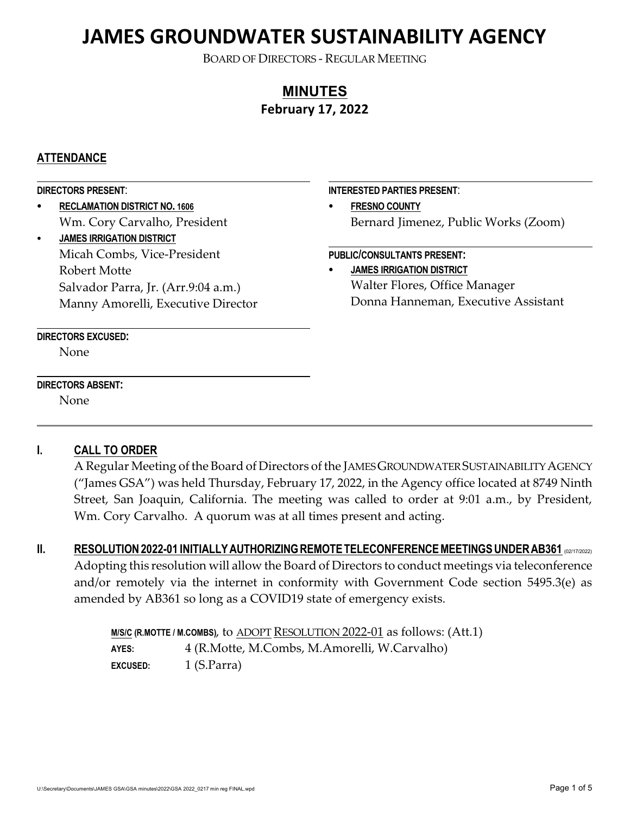BOARD OF DIRECTORS - REGULAR MEETING

## **MINUTES February 17, 2022**

## **ATTENDANCE**

#### **DIRECTORS PRESENT**: C **RECLAMATION DISTRICT NO. 1606** Wm. Cory Carvalho, President C **JAMES IRRIGATION DISTRICT** Micah Combs, Vice-President Robert Motte Salvador Parra, Jr. (Arr.9:04 a.m.) Manny Amorelli, Executive Director **DIRECTORS EXCUSED:** None **INTERESTED PARTIES PRESENT**: **FRESNO COUNTY** Bernard Jimenez, Public Works (Zoom) **PUBLIC/CONSULTANTS PRESENT:** C **JAMES IRRIGATION DISTRICT** Walter Flores, Office Manager Donna Hanneman, Executive Assistant

### **DIRECTORS ABSENT:**

None

## **I. CALL TO ORDER**

A Regular Meeting of the Board of Directors of the JAMES GROUNDWATER SUSTAINABILITY AGENCY ("James GSA") was held Thursday, February 17, 2022, in the Agency office located at 8749 Ninth Street, San Joaquin, California. The meeting was called to order at 9:01 a.m., by President, Wm. Cory Carvalho. A quorum was at all times present and acting.

**II.** RESOLUTION 2022-01 INITIALLY AUTHORIZING REMOTE TELECONFERENCE MEETINGS UNDER AB361 (02/17/2022) Adopting this resolution will allow the Board of Directors to conduct meetings via teleconference and/or remotely via the internet in conformity with Government Code section 5495.3(e) as amended by AB361 so long as a COVID19 state of emergency exists.

> **M/S/C (R.MOTTE / M.COMBS)**, to ADOPT RESOLUTION 2022-01 as follows: (Att.1) **AYES:** 4 (R.Motte, M.Combs, M.Amorelli, W.Carvalho) **EXCUSED:** 1 (S.Parra)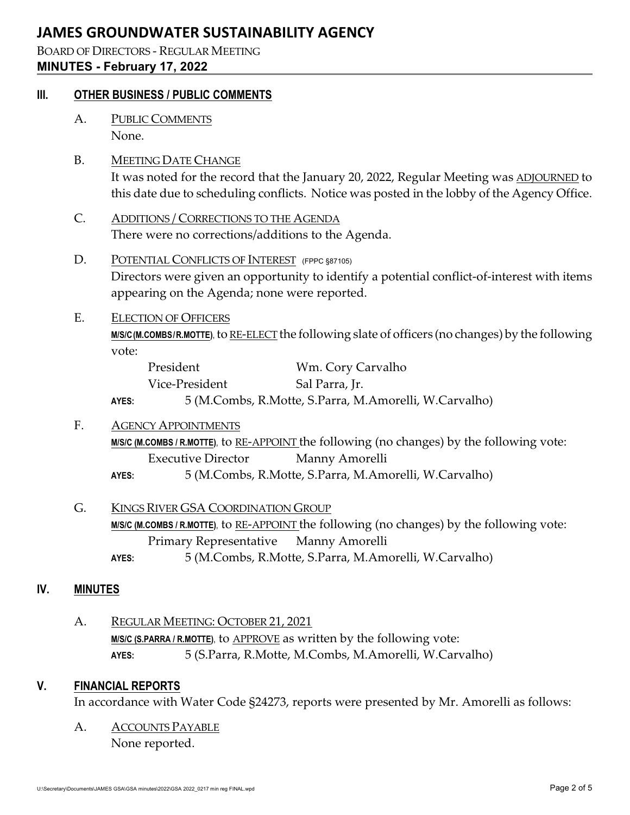## BOARD OF DIRECTORS - REGULAR MEETING **MINUTES - February 17, 2022**

## **III. OTHER BUSINESS / PUBLIC COMMENTS**

A. PUBLIC COMMENTS None.

## B. MEETING DATE CHANGE

It was noted for the record that the January 20, 2022, Regular Meeting was ADJOURNED to this date due to scheduling conflicts. Notice was posted in the lobby of the Agency Office.

- C. ADDITIONS / CORRECTIONS TO THE AGENDA There were no corrections/additions to the Agenda.
- D. POTENTIAL CONFLICTS OF INTEREST (FPPC §87105) Directors were given an opportunity to identify a potential conflict-of-interest with items appearing on the Agenda; none were reported.
- E. ELECTION OF OFFICERS **M/S/C (M.COMBS /R.MOTTE)**,to RE-ELECT the following slate of officers (no changes) by the following vote:

| President      | Wm. Cory Carvalho |
|----------------|-------------------|
| Vice-President | Sal Parra, Jr.    |
|                |                   |

**AYES:** 5 (M.Combs, R.Motte, S.Parra, M.Amorelli, W.Carvalho)

## F. AGENCY APPOINTMENTS

**M/S/C (M.COMBS / R.MOTTE)**, to RE-APPOINT the following (no changes) by the following vote: Executive Director Manny Amorelli

- **AYES:** 5 (M.Combs, R.Motte, S.Parra, M.Amorelli, W.Carvalho)
- G. KINGS RIVER GSA COORDINATION GROUP M/S/C (M.COMBS / R.MOTTE), to RE-APPOINT the following (no changes) by the following vote: Primary Representative Manny Amorelli
	- **AYES:** 5 (M.Combs, R.Motte, S.Parra, M.Amorelli, W.Carvalho)

## **IV. MINUTES**

A. REGULAR MEETING: OCTOBER 21, 2021 **M/S/C (S.PARRA / R.MOTTE)**, to APPROVE as written by the following vote: **AYES:** 5 (S.Parra, R.Motte, M.Combs, M.Amorelli, W.Carvalho)

## **V. FINANCIAL REPORTS**

In accordance with Water Code §24273, reports were presented by Mr. Amorelli as follows:

A. ACCOUNTS PAYABLE None reported.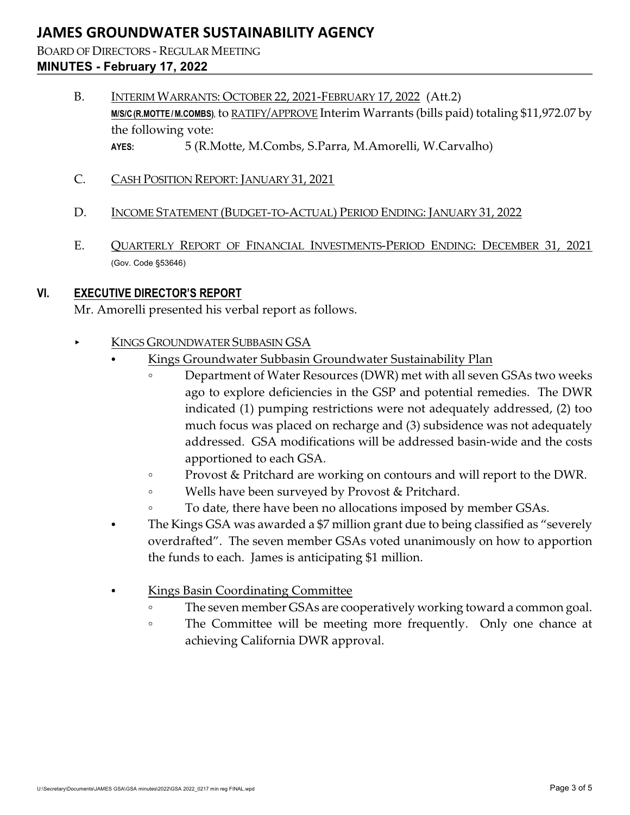BOARD OF DIRECTORS - REGULAR MEETING **MINUTES - February 17, 2022**

- B. INTERIM WARRANTS: OCTOBER 22, 2021-FEBRUARY 17, 2022 (Att.2) **M/S/C (R.MOTTE / M.COMBS)**, to RATIFY/APPROVE Interim Warrants (bills paid) totaling \$11,972.07 by the following vote: **AYES:** 5 (R.Motte, M.Combs, S.Parra, M.Amorelli, W.Carvalho)
- C. CASH POSITION REPORT: JANUARY 31, 2021
- D. INCOME STATEMENT (BUDGET-TO-ACTUAL) PERIOD ENDING: JANUARY 31, 2022
- E. QUARTERLY REPORT OF FINANCIAL INVESTMENTS-PERIOD ENDING: DECEMBER 31, 2021 (Gov. Code §53646)

## **VI. EXECUTIVE DIRECTOR'S REPORT**

Mr. Amorelli presented his verbal report as follows.

- KINGS GROUNDWATER SUBBASIN GSA
	- Kings Groundwater Subbasin Groundwater Sustainability Plan
		- Department of Water Resources (DWR) met with all seven GSAs two weeks ago to explore deficiencies in the GSP and potential remedies. The DWR indicated (1) pumping restrictions were not adequately addressed, (2) too much focus was placed on recharge and (3) subsidence was not adequately addressed. GSA modifications will be addressed basin-wide and the costs apportioned to each GSA.
		- **Provost & Pritchard are working on contours and will report to the DWR.**
		- Wells have been surveyed by Provost & Pritchard.
		- $\circ$  To date, there have been no allocations imposed by member GSAs.
	- The Kings GSA was awarded a \$7 million grant due to being classified as "severely overdrafted". The seven member GSAs voted unanimously on how to apportion the funds to each. James is anticipating \$1 million.
	- Kings Basin Coordinating Committee
		- $\circ$  The seven member GSAs are cooperatively working toward a common goal.
		- The Committee will be meeting more frequently. Only one chance at achieving California DWR approval.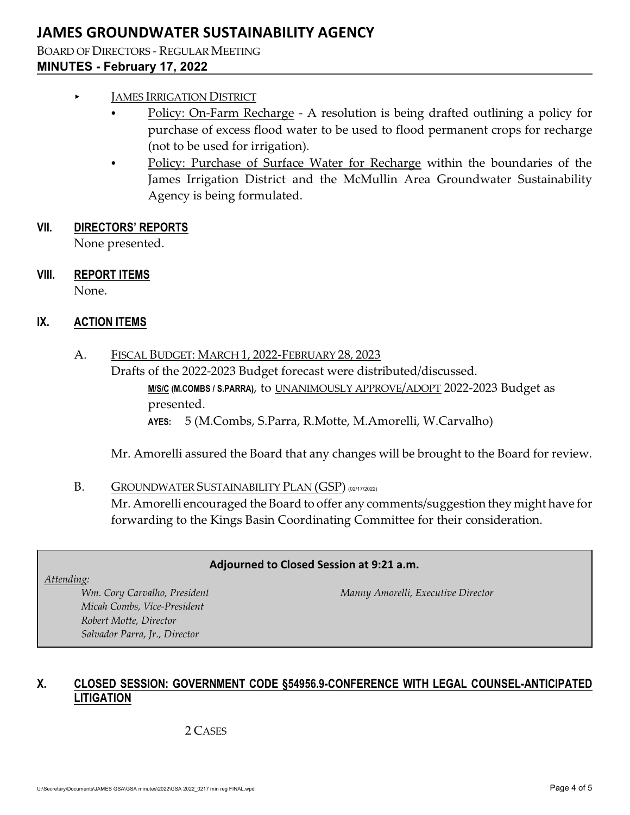BOARD OF DIRECTORS - REGULAR MEETING **MINUTES - February 17, 2022**

## < JAMES IRRIGATION DISTRICT

- Policy: On-Farm Recharge A resolution is being drafted outlining a policy for purchase of excess flood water to be used to flood permanent crops for recharge (not to be used for irrigation).
- Policy: Purchase of Surface Water for Recharge within the boundaries of the James Irrigation District and the McMullin Area Groundwater Sustainability Agency is being formulated.

### **VII. DIRECTORS' REPORTS**

None presented.

## **VIII. REPORT ITEMS**

None.

## **IX. ACTION ITEMS**

A. FISCAL BUDGET: MARCH 1, 2022-FEBRUARY 28, 2023 Drafts of the 2022-2023 Budget forecast were distributed/discussed. **M/S/C (M.COMBS / S.PARRA)**, to UNANIMOUSLY APPROVE/ADOPT 2022-2023 Budget as presented. **AYES:** 5 (M.Combs, S.Parra, R.Motte, M.Amorelli, W.Carvalho)

Mr. Amorelli assured the Board that any changes will be brought to the Board for review.

## B. GROUNDWATER SUSTAINABILITY PLAN (GSP) (02/17/2022) Mr. Amorelli encouraged the Board to offer any comments/suggestion they might have for forwarding to the Kings Basin Coordinating Committee for their consideration.

#### **Adjourned to Closed Session at 9:21 a.m.**

*Attending:*

*Micah Combs, Vice-President Robert Motte, Director Salvador Parra, Jr., Director*

*Wm. Cory Carvalho, President Manny Amorelli, Executive Director*

## **X. CLOSED SESSION: GOVERNMENT CODE §54956.9-CONFERENCE WITH LEGAL COUNSEL-ANTICIPATED LITIGATION**

## 2 CASES